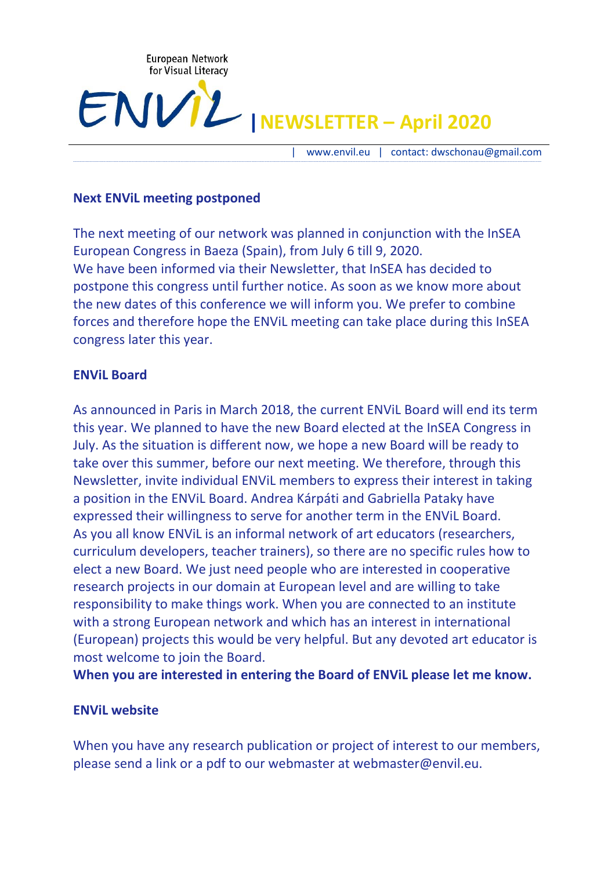

# **|NEWSLETTER – April 2020**

| [www.envil.eu](about:blank) | contact: dwschonau@gmail.com

#### **Next ENViL meeting postponed**

The next meeting of our network was planned in conjunction with the InSEA European Congress in Baeza (Spain), from July 6 till 9, 2020. We have been informed via their Newsletter, that InSEA has decided to postpone this congress until further notice. As soon as we know more about the new dates of this conference we will inform you. We prefer to combine forces and therefore hope the ENViL meeting can take place during this InSEA congress later this year.

----------------------------------------------------------------------------------------------------------------------------------------------------------------------------------------------------------------------------------------------------------------------------------------------------------------------------------------------------------------------------------

#### **ENViL Board**

As announced in Paris in March 2018, the current ENViL Board will end its term this year. We planned to have the new Board elected at the InSEA Congress in July. As the situation is different now, we hope a new Board will be ready to take over this summer, before our next meeting. We therefore, through this Newsletter, invite individual ENViL members to express their interest in taking a position in the ENViL Board. Andrea Kárpáti and Gabriella Pataky have expressed their willingness to serve for another term in the ENViL Board. As you all know ENViL is an informal network of art educators (researchers, curriculum developers, teacher trainers), so there are no specific rules how to elect a new Board. We just need people who are interested in cooperative research projects in our domain at European level and are willing to take responsibility to make things work. When you are connected to an institute with a strong European network and which has an interest in international (European) projects this would be very helpful. But any devoted art educator is most welcome to join the Board.

**When you are interested in entering the Board of ENViL please let me know.**

#### **ENViL website**

When you have any research publication or project of interest to our members, please send a link or a pdf to our webmaster at webmaster@envil.eu.